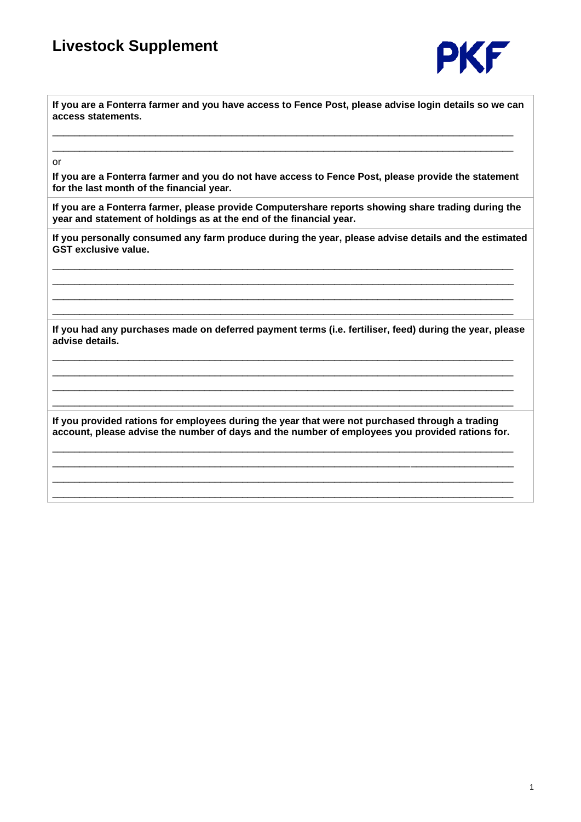

**If you are a Fonterra farmer and you have access to Fence Post, please advise login details so we can access statements.**

\_\_\_\_\_\_\_\_\_\_\_\_\_\_\_\_\_\_\_\_\_\_\_\_\_\_\_\_\_\_\_\_\_\_\_\_\_\_\_\_\_\_\_\_\_\_\_\_\_\_\_\_\_\_\_\_\_\_\_\_\_\_\_\_\_\_\_\_\_\_\_\_\_\_\_\_\_\_\_\_\_\_\_\_\_ \_\_\_\_\_\_\_\_\_\_\_\_\_\_\_\_\_\_\_\_\_\_\_\_\_\_\_\_\_\_\_\_\_\_\_\_\_\_\_\_\_\_\_\_\_\_\_\_\_\_\_\_\_\_\_\_\_\_\_\_\_\_\_\_\_\_\_\_\_\_\_\_\_\_\_\_\_\_\_\_\_\_\_\_\_

or

**If you are a Fonterra farmer and you do not have access to Fence Post, please provide the statement for the last month of the financial year.**

**If you are a Fonterra farmer, please provide Computershare reports showing share trading during the year and statement of holdings as at the end of the financial year.**

**If you personally consumed any farm produce during the year, please advise details and the estimated GST exclusive value.**

\_\_\_\_\_\_\_\_\_\_\_\_\_\_\_\_\_\_\_\_\_\_\_\_\_\_\_\_\_\_\_\_\_\_\_\_\_\_\_\_\_\_\_\_\_\_\_\_\_\_\_\_\_\_\_\_\_\_\_\_\_\_\_\_\_\_\_\_\_\_\_\_\_\_\_\_\_\_\_\_\_\_\_\_\_ \_\_\_\_\_\_\_\_\_\_\_\_\_\_\_\_\_\_\_\_\_\_\_\_\_\_\_\_\_\_\_\_\_\_\_\_\_\_\_\_\_\_\_\_\_\_\_\_\_\_\_\_\_\_\_\_\_\_\_\_\_\_\_\_\_\_\_\_\_\_\_\_\_\_\_\_\_\_\_\_\_\_\_\_\_ \_\_\_\_\_\_\_\_\_\_\_\_\_\_\_\_\_\_\_\_\_\_\_\_\_\_\_\_\_\_\_\_\_\_\_\_\_\_\_\_\_\_\_\_\_\_\_\_\_\_\_\_\_\_\_\_\_\_\_\_\_\_\_\_\_\_\_\_\_\_\_\_\_\_\_\_\_\_\_\_\_\_\_\_\_

**If you had any purchases made on deferred payment terms (i.e. fertiliser, feed) during the year, please advise details.**

\_\_\_\_\_\_\_\_\_\_\_\_\_\_\_\_\_\_\_\_\_\_\_\_\_\_\_\_\_\_\_\_\_\_\_\_\_\_\_\_\_\_\_\_\_\_\_\_\_\_\_\_\_\_\_\_\_\_\_\_\_\_\_\_\_\_\_\_\_\_\_\_\_\_\_\_\_\_\_\_\_\_\_\_\_ \_\_\_\_\_\_\_\_\_\_\_\_\_\_\_\_\_\_\_\_\_\_\_\_\_\_\_\_\_\_\_\_\_\_\_\_\_\_\_\_\_\_\_\_\_\_\_\_\_\_\_\_\_\_\_\_\_\_\_\_\_\_\_\_\_\_\_\_\_\_\_\_\_\_\_\_\_\_\_\_\_\_\_\_\_ \_\_\_\_\_\_\_\_\_\_\_\_\_\_\_\_\_\_\_\_\_\_\_\_\_\_\_\_\_\_\_\_\_\_\_\_\_\_\_\_\_\_\_\_\_\_\_\_\_\_\_\_\_\_\_\_\_\_\_\_\_\_\_\_\_\_\_\_\_\_\_\_\_\_\_\_\_\_\_\_\_\_\_\_\_ \_\_\_\_\_\_\_\_\_\_\_\_\_\_\_\_\_\_\_\_\_\_\_\_\_\_\_\_\_\_\_\_\_\_\_\_\_\_\_\_\_\_\_\_\_\_\_\_\_\_\_\_\_\_\_\_\_\_\_\_\_\_\_\_\_\_\_\_\_\_\_\_\_\_\_\_\_\_\_\_\_\_\_\_\_

\_\_\_\_\_\_\_\_\_\_\_\_\_\_\_\_\_\_\_\_\_\_\_\_\_\_\_\_\_\_\_\_\_\_\_\_\_\_\_\_\_\_\_\_\_\_\_\_\_\_\_\_\_\_\_\_\_\_\_\_\_\_\_\_\_\_\_\_\_\_\_\_\_\_\_\_\_\_\_\_\_\_\_\_\_

**If you provided rations for employees during the year that were not purchased through a trading account, please advise the number of days and the number of employees you provided rations for.**

\_\_\_\_\_\_\_\_\_\_\_\_\_\_\_\_\_\_\_\_\_\_\_\_\_\_\_\_\_\_\_\_\_\_\_\_\_\_\_\_\_\_\_\_\_\_\_\_\_\_\_\_\_\_\_\_\_\_\_\_\_\_\_\_\_\_\_\_\_\_\_\_\_\_\_\_\_\_\_\_\_\_\_\_\_ \_\_\_\_\_\_\_\_\_\_\_\_\_\_\_\_\_\_\_\_\_\_\_\_\_\_\_\_\_\_\_\_\_\_\_\_\_\_\_\_\_\_\_\_\_\_\_\_\_\_\_\_\_\_\_\_\_\_\_\_\_\_\_\_\_\_\_\_\_\_\_\_\_\_\_\_\_\_\_\_\_\_\_\_\_ \_\_\_\_\_\_\_\_\_\_\_\_\_\_\_\_\_\_\_\_\_\_\_\_\_\_\_\_\_\_\_\_\_\_\_\_\_\_\_\_\_\_\_\_\_\_\_\_\_\_\_\_\_\_\_\_\_\_\_\_\_\_\_\_\_\_\_\_\_\_\_\_\_\_\_\_\_\_\_\_\_\_\_\_\_ \_\_\_\_\_\_\_\_\_\_\_\_\_\_\_\_\_\_\_\_\_\_\_\_\_\_\_\_\_\_\_\_\_\_\_\_\_\_\_\_\_\_\_\_\_\_\_\_\_\_\_\_\_\_\_\_\_\_\_\_\_\_\_\_\_\_\_\_\_\_\_\_\_\_\_\_\_\_\_\_\_\_\_\_\_